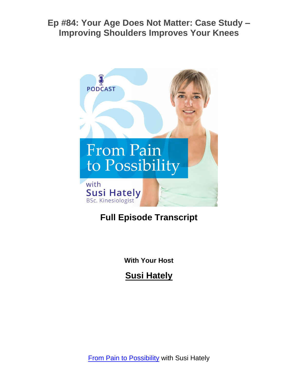

# **Full Episode Transcript**

**With Your Host**

**Susi Hately**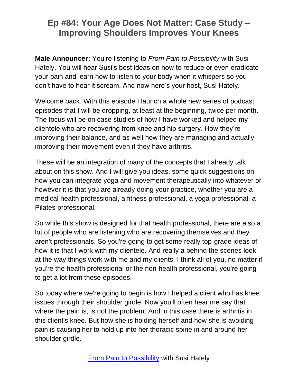**Male Announcer:** You're listening to *From Pain to Possibility* with Susi Hately. You will hear Susi's best ideas on how to reduce or even eradicate your pain and learn how to listen to your body when it whispers so you don't have to hear it scream. And now here's your host, Susi Hately.

Welcome back. With this episode I launch a whole new series of podcast episodes that I will be dropping, at least at the beginning, twice per month. The focus will be on case studies of how I have worked and helped my clientele who are recovering from knee and hip surgery. How they're improving their balance, and as well how they are managing and actually improving their movement even if they have arthritis.

These will be an integration of many of the concepts that I already talk about on this show. And I will give you ideas, some quick suggestions on how you can integrate yoga and movement therapeutically into whatever or however it is that you are already doing your practice, whether you are a medical health professional, a fitness professional, a yoga professional, a Pilates professional.

So while this show is designed for that health professional, there are also a lot of people who are listening who are recovering themselves and they aren't professionals. So you're going to get some really top-grade ideas of how it is that I work with my clientele. And really a behind the scenes look at the way things work with me and my clients. I think all of you, no matter if you're the health professional or the non-health professional, you're going to get a lot from these episodes.

So today where we're going to begin is how I helped a client who has knee issues through their shoulder girdle. Now you'll often hear me say that where the pain is, is not the problem. And in this case there is arthritis in this client's knee. But how she is holding herself and how she is avoiding pain is causing her to hold up into her thoracic spine in and around her shoulder girdle.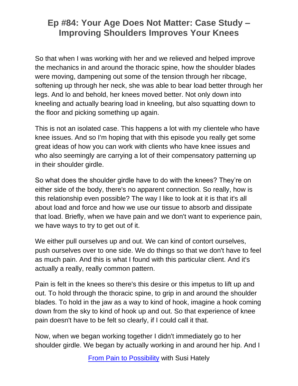So that when I was working with her and we relieved and helped improve the mechanics in and around the thoracic spine, how the shoulder blades were moving, dampening out some of the tension through her ribcage, softening up through her neck, she was able to bear load better through her legs. And lo and behold, her knees moved better. Not only down into kneeling and actually bearing load in kneeling, but also squatting down to the floor and picking something up again.

This is not an isolated case. This happens a lot with my clientele who have knee issues. And so I'm hoping that with this episode you really get some great ideas of how you can work with clients who have knee issues and who also seemingly are carrying a lot of their compensatory patterning up in their shoulder girdle.

So what does the shoulder girdle have to do with the knees? They're on either side of the body, there's no apparent connection. So really, how is this relationship even possible? The way I like to look at it is that it's all about load and force and how we use our tissue to absorb and dissipate that load. Briefly, when we have pain and we don't want to experience pain, we have ways to try to get out of it.

We either pull ourselves up and out. We can kind of contort ourselves, push ourselves over to one side. We do things so that we don't have to feel as much pain. And this is what I found with this particular client. And it's actually a really, really common pattern.

Pain is felt in the knees so there's this desire or this impetus to lift up and out. To hold through the thoracic spine, to grip in and around the shoulder blades. To hold in the jaw as a way to kind of hook, imagine a hook coming down from the sky to kind of hook up and out. So that experience of knee pain doesn't have to be felt so clearly, if I could call it that.

Now, when we began working together I didn't immediately go to her shoulder girdle. We began by actually working in and around her hip. And I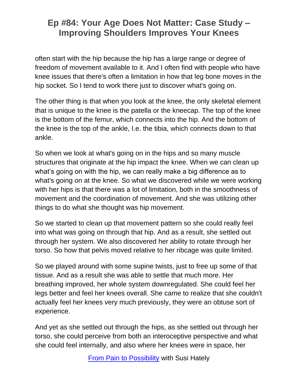often start with the hip because the hip has a large range or degree of freedom of movement available to it. And I often find with people who have knee issues that there's often a limitation in how that leg bone moves in the hip socket. So I tend to work there just to discover what's going on.

The other thing is that when you look at the knee, the only skeletal element that is unique to the knee is the patella or the kneecap. The top of the knee is the bottom of the femur, which connects into the hip. And the bottom of the knee is the top of the ankle, I.e. the tibia, which connects down to that ankle.

So when we look at what's going on in the hips and so many muscle structures that originate at the hip impact the knee. When we can clean up what's going on with the hip, we can really make a big difference as to what's going on at the knee. So what we discovered while we were working with her hips is that there was a lot of limitation, both in the smoothness of movement and the coordination of movement. And she was utilizing other things to do what she thought was hip movement.

So we started to clean up that movement pattern so she could really feel into what was going on through that hip. And as a result, she settled out through her system. We also discovered her ability to rotate through her torso. So how that pelvis moved relative to her ribcage was quite limited.

So we played around with some supine twists, just to free up some of that tissue. And as a result she was able to settle that much more. Her breathing improved, her whole system downregulated. She could feel her legs better and feel her knees overall. She came to realize that she couldn't actually feel her knees very much previously, they were an obtuse sort of experience.

And yet as she settled out through the hips, as she settled out through her torso, she could perceive from both an interoceptive perspective and what she could feel internally, and also where her knees were in space, her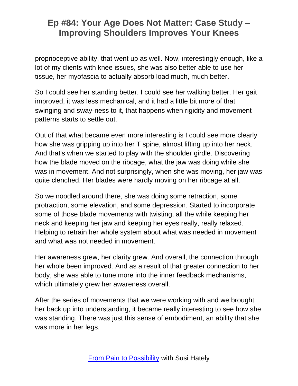proprioceptive ability, that went up as well. Now, interestingly enough, like a lot of my clients with knee issues, she was also better able to use her tissue, her myofascia to actually absorb load much, much better.

So I could see her standing better. I could see her walking better. Her gait improved, it was less mechanical, and it had a little bit more of that swinging and sway-ness to it, that happens when rigidity and movement patterns starts to settle out.

Out of that what became even more interesting is I could see more clearly how she was gripping up into her T spine, almost lifting up into her neck. And that's when we started to play with the shoulder girdle. Discovering how the blade moved on the ribcage, what the jaw was doing while she was in movement. And not surprisingly, when she was moving, her jaw was quite clenched. Her blades were hardly moving on her ribcage at all.

So we noodled around there, she was doing some retraction, some protraction, some elevation, and some depression. Started to incorporate some of those blade movements with twisting, all the while keeping her neck and keeping her jaw and keeping her eyes really, really relaxed. Helping to retrain her whole system about what was needed in movement and what was not needed in movement.

Her awareness grew, her clarity grew. And overall, the connection through her whole been improved. And as a result of that greater connection to her body, she was able to tune more into the inner feedback mechanisms, which ultimately grew her awareness overall.

After the series of movements that we were working with and we brought her back up into understanding, it became really interesting to see how she was standing. There was just this sense of embodiment, an ability that she was more in her legs.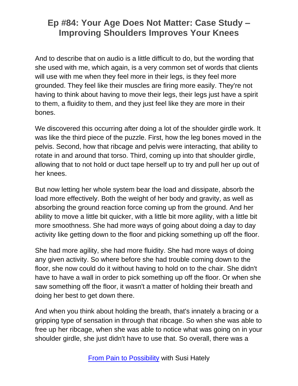And to describe that on audio is a little difficult to do, but the wording that she used with me, which again, is a very common set of words that clients will use with me when they feel more in their legs, is they feel more grounded. They feel like their muscles are firing more easily. They're not having to think about having to move their legs, their legs just have a spirit to them, a fluidity to them, and they just feel like they are more in their bones.

We discovered this occurring after doing a lot of the shoulder girdle work. It was like the third piece of the puzzle. First, how the leg bones moved in the pelvis. Second, how that ribcage and pelvis were interacting, that ability to rotate in and around that torso. Third, coming up into that shoulder girdle, allowing that to not hold or duct tape herself up to try and pull her up out of her knees.

But now letting her whole system bear the load and dissipate, absorb the load more effectively. Both the weight of her body and gravity, as well as absorbing the ground reaction force coming up from the ground. And her ability to move a little bit quicker, with a little bit more agility, with a little bit more smoothness. She had more ways of going about doing a day to day activity like getting down to the floor and picking something up off the floor.

She had more agility, she had more fluidity. She had more ways of doing any given activity. So where before she had trouble coming down to the floor, she now could do it without having to hold on to the chair. She didn't have to have a wall in order to pick something up off the floor. Or when she saw something off the floor, it wasn't a matter of holding their breath and doing her best to get down there.

And when you think about holding the breath, that's innately a bracing or a gripping type of sensation in through that ribcage. So when she was able to free up her ribcage, when she was able to notice what was going on in your shoulder girdle, she just didn't have to use that. So overall, there was a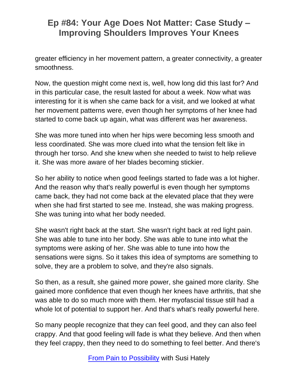greater efficiency in her movement pattern, a greater connectivity, a greater smoothness.

Now, the question might come next is, well, how long did this last for? And in this particular case, the result lasted for about a week. Now what was interesting for it is when she came back for a visit, and we looked at what her movement patterns were, even though her symptoms of her knee had started to come back up again, what was different was her awareness.

She was more tuned into when her hips were becoming less smooth and less coordinated. She was more clued into what the tension felt like in through her torso. And she knew when she needed to twist to help relieve it. She was more aware of her blades becoming stickier.

So her ability to notice when good feelings started to fade was a lot higher. And the reason why that's really powerful is even though her symptoms came back, they had not come back at the elevated place that they were when she had first started to see me. Instead, she was making progress. She was tuning into what her body needed.

She wasn't right back at the start. She wasn't right back at red light pain. She was able to tune into her body. She was able to tune into what the symptoms were asking of her. She was able to tune into how the sensations were signs. So it takes this idea of symptoms are something to solve, they are a problem to solve, and they're also signals.

So then, as a result, she gained more power, she gained more clarity. She gained more confidence that even though her knees have arthritis, that she was able to do so much more with them. Her myofascial tissue still had a whole lot of potential to support her. And that's what's really powerful here.

So many people recognize that they can feel good, and they can also feel crappy. And that good feeling will fade is what they believe. And then when they feel crappy, then they need to do something to feel better. And there's